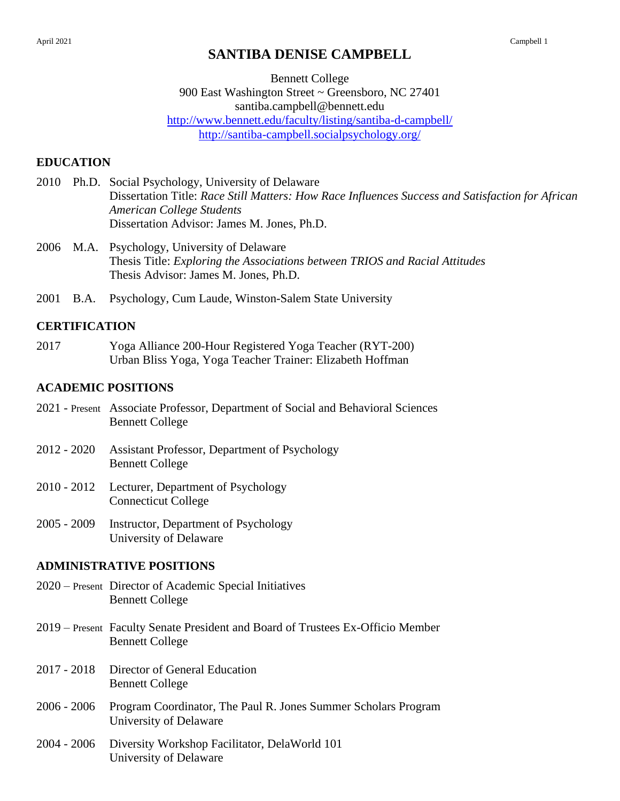# **SANTIBA DENISE CAMPBELL**

Bennett College 900 East Washington Street ~ Greensboro, NC 27401 santiba.campbell@bennett.edu <http://www.bennett.edu/faculty/listing/santiba-d-campbell/> <http://santiba-campbell.socialpsychology.org/>

### **EDUCATION**

- 2010 Ph.D. Social Psychology, University of Delaware Dissertation Title: *Race Still Matters: How Race Influences Success and Satisfaction for African American College Students* Dissertation Advisor: James M. Jones, Ph.D.
- 2006 M.A. Psychology, University of Delaware Thesis Title: *Exploring the Associations between TRIOS and Racial Attitudes* Thesis Advisor: James M. Jones, Ph.D.
- 2001 B.A. Psychology, Cum Laude, Winston-Salem State University

### **CERTIFICATION**

2017 Yoga Alliance 200-Hour Registered Yoga Teacher (RYT-200) Urban Bliss Yoga, Yoga Teacher Trainer: Elizabeth Hoffman

#### **ACADEMIC POSITIONS**

- 2021 Present Associate Professor, Department of Social and Behavioral Sciences Bennett College
- 2012 2020 Assistant Professor, Department of Psychology Bennett College
- 2010 2012 Lecturer, Department of Psychology Connecticut College
- 2005 2009 Instructor, Department of Psychology University of Delaware

### **ADMINISTRATIVE POSITIONS**

- 2020 Present Director of Academic Special Initiatives Bennett College
- 2019 Present Faculty Senate President and Board of Trustees Ex-Officio Member Bennett College
- 2017 2018 Director of General Education Bennett College
- 2006 2006 Program Coordinator, The Paul R. Jones Summer Scholars Program University of Delaware
- 2004 2006 Diversity Workshop Facilitator, DelaWorld 101 University of Delaware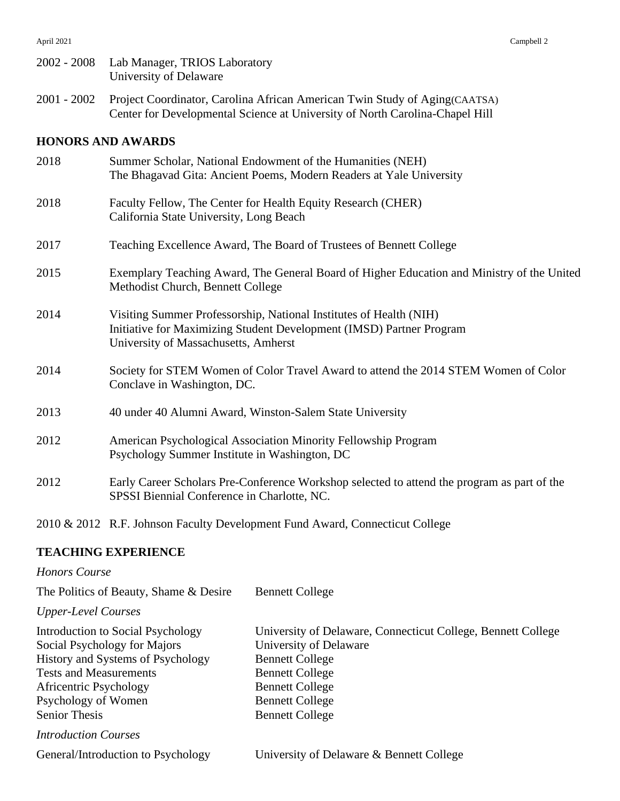- 2002 2008 Lab Manager, TRIOS Laboratory University of Delaware
- 2001 2002 Project Coordinator, Carolina African American Twin Study of Aging(CAATSA) Center for Developmental Science at University of North Carolina-Chapel Hill

## **HONORS AND AWARDS**

| 2018 | Summer Scholar, National Endowment of the Humanities (NEH)<br>The Bhagavad Gita: Ancient Poems, Modern Readers at Yale University                                                  |
|------|------------------------------------------------------------------------------------------------------------------------------------------------------------------------------------|
| 2018 | Faculty Fellow, The Center for Health Equity Research (CHER)<br>California State University, Long Beach                                                                            |
| 2017 | Teaching Excellence Award, The Board of Trustees of Bennett College                                                                                                                |
| 2015 | Exemplary Teaching Award, The General Board of Higher Education and Ministry of the United<br>Methodist Church, Bennett College                                                    |
| 2014 | Visiting Summer Professorship, National Institutes of Health (NIH)<br>Initiative for Maximizing Student Development (IMSD) Partner Program<br>University of Massachusetts, Amherst |
| 2014 | Society for STEM Women of Color Travel Award to attend the 2014 STEM Women of Color<br>Conclave in Washington, DC.                                                                 |
| 2013 | 40 under 40 Alumni Award, Winston-Salem State University                                                                                                                           |
| 2012 | American Psychological Association Minority Fellowship Program<br>Psychology Summer Institute in Washington, DC                                                                    |
| 2012 | Early Career Scholars Pre-Conference Workshop selected to attend the program as part of the<br>SPSSI Biennial Conference in Charlotte, NC.                                         |

2010 & 2012 R.F. Johnson Faculty Development Fund Award, Connecticut College

### **TEACHING EXPERIENCE**

### *Honors Course*

| The Politics of Beauty, Shame & Desire | <b>Bennett College</b>                                       |
|----------------------------------------|--------------------------------------------------------------|
| <b>Upper-Level Courses</b>             |                                                              |
| Introduction to Social Psychology      | University of Delaware, Connecticut College, Bennett College |
| Social Psychology for Majors           | University of Delaware                                       |
| History and Systems of Psychology      | <b>Bennett College</b>                                       |
| <b>Tests and Measurements</b>          | <b>Bennett College</b>                                       |
| Africentric Psychology                 | <b>Bennett College</b>                                       |
| Psychology of Women                    | <b>Bennett College</b>                                       |
| <b>Senior Thesis</b>                   | <b>Bennett College</b>                                       |
| <b>Introduction Courses</b>            |                                                              |
| General/Introduction to Psychology     | University of Delaware & Bennett College                     |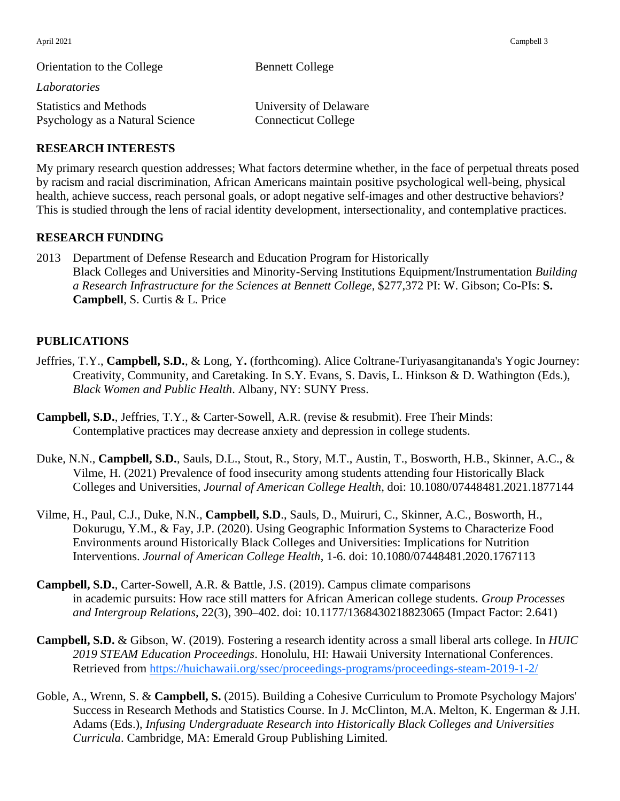| Orientation to the College                                       | <b>Bennett College</b>                               |  |
|------------------------------------------------------------------|------------------------------------------------------|--|
| Laboratories                                                     |                                                      |  |
| <b>Statistics and Methods</b><br>Psychology as a Natural Science | University of Delaware<br><b>Connecticut College</b> |  |
|                                                                  |                                                      |  |

### **RESEARCH INTERESTS**

My primary research question addresses; What factors determine whether, in the face of perpetual threats posed by racism and racial discrimination, African Americans maintain positive psychological well-being, physical health, achieve success, reach personal goals, or adopt negative self-images and other destructive behaviors? This is studied through the lens of racial identity development, intersectionality, and contemplative practices.

### **RESEARCH FUNDING**

2013 Department of Defense Research and Education Program for Historically Black Colleges and Universities and Minority-Serving Institutions Equipment/Instrumentation *Building a Research Infrastructure for the Sciences at Bennett College*, \$277,372 PI: W. Gibson; Co-PIs: **S. Campbell**, S. Curtis & L. Price

### **PUBLICATIONS**

- Jeffries, T.Y., **Campbell, S.D.**, & Long, Y**.** (forthcoming). Alice Coltrane-Turiyasangitananda's Yogic Journey: Creativity, Community, and Caretaking. In S.Y. Evans, S. Davis, L. Hinkson & D. Wathington (Eds.), *Black Women and Public Health*. Albany, NY: SUNY Press.
- **Campbell, S.D.**, Jeffries, T.Y., & Carter-Sowell, A.R. (revise & resubmit). Free Their Minds: Contemplative practices may decrease anxiety and depression in college students.
- Duke, N.N., **Campbell, S.D.**, Sauls, D.L., Stout, R., Story, M.T., Austin, T., Bosworth, H.B., Skinner, A.C., & Vilme, H. (2021) Prevalence of food insecurity among students attending four Historically Black Colleges and Universities, *Journal of American College Health*, doi: 10.1080/07448481.2021.1877144
- Vilme, H., Paul, C.J., Duke, N.N., **Campbell, S.D**., Sauls, D., Muiruri, C., Skinner, A.C., Bosworth, H., Dokurugu, Y.M., & Fay, J.P. (2020). Using Geographic Information Systems to Characterize Food Environments around Historically Black Colleges and Universities: Implications for Nutrition Interventions. *Journal of American College Health*, 1-6. doi: 10.1080/07448481.2020.1767113
- **Campbell, S.D.**, Carter-Sowell, A.R. & Battle, J.S. (2019). Campus climate comparisons in academic pursuits: How race still matters for African American college students. *Group Processes and Intergroup Relations*, 22(3), 390–402. doi: 10.1177/1368430218823065 (Impact Factor: 2.641)
- **Campbell, S.D.** & Gibson, W. (2019). Fostering a research identity across a small liberal arts college. In *HUIC 2019 STEAM Education Proceedings*. Honolulu, HI: Hawaii University International Conferences. Retrieved from<https://huichawaii.org/ssec/proceedings-programs/proceedings-steam-2019-1-2/>
- Goble, A., Wrenn, S. & **Campbell, S.** (2015). Building a Cohesive Curriculum to Promote Psychology Majors' Success in Research Methods and Statistics Course. In J. McClinton, M.A. Melton, K. Engerman & J.H. Adams (Eds.), *Infusing Undergraduate Research into Historically Black Colleges and Universities Curricula*. Cambridge, MA: Emerald Group Publishing Limited.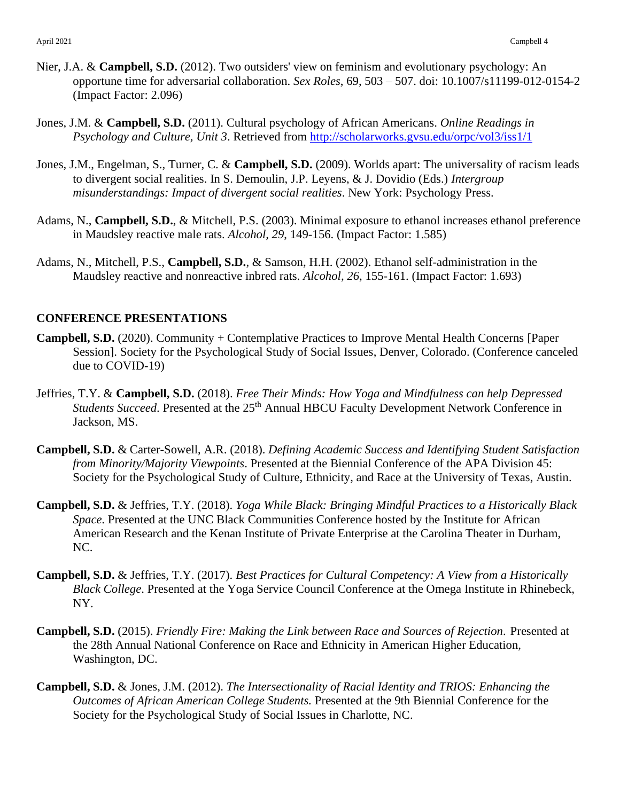- Nier, J.A. & **Campbell, S.D.** (2012). Two outsiders' view on feminism and evolutionary psychology: An opportune time for adversarial collaboration. *Sex Roles*, 69, 503 – 507. doi: 10.1007/s11199-012-0154-2 (Impact Factor: 2.096)
- Jones, J.M. & **Campbell, S.D.** (2011). Cultural psychology of African Americans. *Online Readings in Psychology and Culture, Unit 3*. Retrieved from<http://scholarworks.gvsu.edu/orpc/vol3/iss1/1>
- Jones, J.M., Engelman, S., Turner, C. & **Campbell, S.D.** (2009). Worlds apart: The universality of racism leads to divergent social realities. In S. Demoulin, J.P. Leyens, & J. Dovidio (Eds.) *Intergroup misunderstandings: Impact of divergent social realities*. New York: Psychology Press.
- Adams, N., **Campbell, S.D.**, & Mitchell, P.S. (2003). Minimal exposure to ethanol increases ethanol preference in Maudsley reactive male rats. *Alcohol, 29*, 149-156. (Impact Factor: 1.585)
- Adams, N., Mitchell, P.S., **Campbell, S.D.**, & Samson, H.H. (2002). Ethanol self-administration in the Maudsley reactive and nonreactive inbred rats. *Alcohol, 26*, 155-161. (Impact Factor: 1.693)

### **CONFERENCE PRESENTATIONS**

- **Campbell, S.D.** (2020). Community + Contemplative Practices to Improve Mental Health Concerns [Paper Session]. Society for the Psychological Study of Social Issues, Denver, Colorado. (Conference canceled due to COVID-19)
- Jeffries, T.Y. & **Campbell, S.D.** (2018). *Free Their Minds: How Yoga and Mindfulness can help Depressed Students Succeed*. Presented at the 25<sup>th</sup> Annual HBCU Faculty Development Network Conference in Jackson, MS.
- **Campbell, S.D.** & Carter-Sowell, A.R. (2018). *Defining Academic Success and Identifying Student Satisfaction from Minority/Majority Viewpoints*. Presented at the Biennial Conference of the APA Division 45: Society for the Psychological Study of Culture, Ethnicity, and Race at the University of Texas, Austin.
- **Campbell, S.D.** & Jeffries, T.Y. (2018). *Yoga While Black: Bringing Mindful Practices to a Historically Black Space*. Presented at the UNC Black Communities Conference hosted by the Institute for African American Research and the Kenan Institute of Private Enterprise at the Carolina Theater in Durham, NC.
- **Campbell, S.D.** & Jeffries, T.Y. (2017). *Best Practices for Cultural Competency: A View from a Historically Black College*. Presented at the Yoga Service Council Conference at the Omega Institute in Rhinebeck, NY.
- **Campbell, S.D.** (2015). *Friendly Fire: Making the Link between Race and Sources of Rejection*. Presented at the 28th Annual National Conference on Race and Ethnicity in American Higher Education, Washington, DC.
- **Campbell, S.D.** & Jones, J.M. (2012). *The Intersectionality of Racial Identity and TRIOS: Enhancing the Outcomes of African American College Students.* Presented at the 9th Biennial Conference for the Society for the Psychological Study of Social Issues in Charlotte, NC.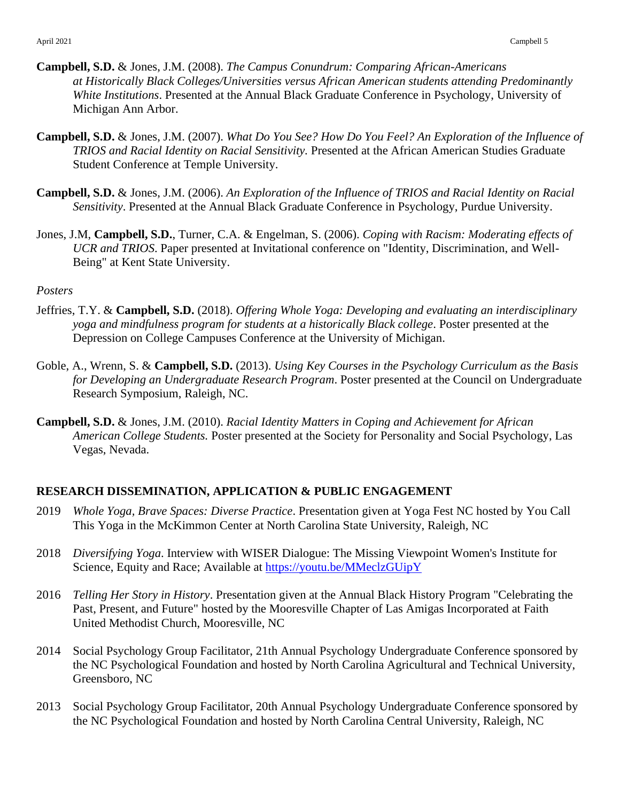- **Campbell, S.D.** & Jones, J.M. (2008). *The Campus Conundrum: Comparing African-Americans at Historically Black Colleges/Universities versus African American students attending Predominantly White Institutions*. Presented at the Annual Black Graduate Conference in Psychology, University of Michigan Ann Arbor.
- **Campbell, S.D.** & Jones, J.M. (2007). *What Do You See? How Do You Feel? An Exploration of the Influence of TRIOS and Racial Identity on Racial Sensitivity.* Presented at the African American Studies Graduate Student Conference at Temple University.
- **Campbell, S.D.** & Jones, J.M. (2006). *An Exploration of the Influence of TRIOS and Racial Identity on Racial Sensitivity*. Presented at the Annual Black Graduate Conference in Psychology, Purdue University.
- Jones, J.M, **Campbell, S.D.**, Turner, C.A. & Engelman, S. (2006). *Coping with Racism: Moderating effects of UCR and TRIOS*. Paper presented at Invitational conference on "Identity, Discrimination, and Well-Being" at Kent State University.

### *Posters*

- Jeffries, T.Y. & **Campbell, S.D.** (2018). *Offering Whole Yoga: Developing and evaluating an interdisciplinary yoga and mindfulness program for students at a historically Black college*. Poster presented at the Depression on College Campuses Conference at the University of Michigan.
- Goble, A., Wrenn, S. & **Campbell, S.D.** (2013). *Using Key Courses in the Psychology Curriculum as the Basis for Developing an Undergraduate Research Program*. Poster presented at the Council on Undergraduate Research Symposium, Raleigh, NC.
- **Campbell, S.D.** & Jones, J.M. (2010). *Racial Identity Matters in Coping and Achievement for African American College Students.* Poster presented at the Society for Personality and Social Psychology, Las Vegas, Nevada.

## **RESEARCH DISSEMINATION, APPLICATION & PUBLIC ENGAGEMENT**

- 2019 *Whole Yoga, Brave Spaces: Diverse Practice*. Presentation given at Yoga Fest NC hosted by You Call This Yoga in the McKimmon Center at North Carolina State University, Raleigh, NC
- 2018 *Diversifying Yoga*. Interview with WISER Dialogue: The Missing Viewpoint Women's Institute for Science, Equity and Race; Available at <https://youtu.be/MMeclzGUipY>
- 2016 *Telling Her Story in History*. Presentation given at the Annual Black History Program "Celebrating the Past, Present, and Future" hosted by the Mooresville Chapter of Las Amigas Incorporated at Faith United Methodist Church, Mooresville, NC
- 2014 Social Psychology Group Facilitator, 21th Annual Psychology Undergraduate Conference sponsored by the NC Psychological Foundation and hosted by North Carolina Agricultural and Technical University, Greensboro, NC
- 2013 Social Psychology Group Facilitator, 20th Annual Psychology Undergraduate Conference sponsored by the NC Psychological Foundation and hosted by North Carolina Central University, Raleigh, NC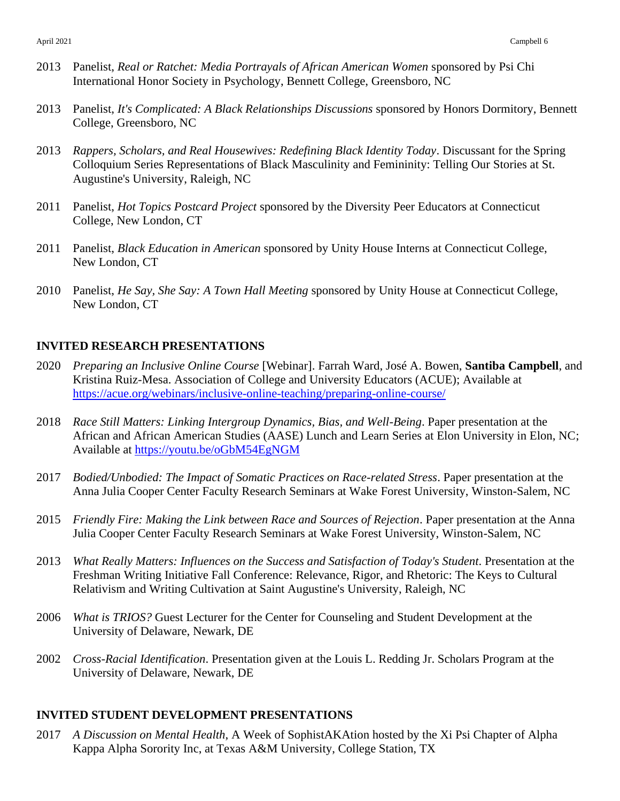- 2013 Panelist, *Real or Ratchet: Media Portrayals of African American Women* sponsored by Psi Chi International Honor Society in Psychology, Bennett College, Greensboro, NC
- 2013 Panelist, *It's Complicated: A Black Relationships Discussions* sponsored by Honors Dormitory, Bennett College, Greensboro, NC
- 2013 *Rappers, Scholars, and Real Housewives: Redefining Black Identity Today*. Discussant for the Spring Colloquium Series Representations of Black Masculinity and Femininity: Telling Our Stories at St. Augustine's University, Raleigh, NC
- 2011 Panelist, *Hot Topics Postcard Project* sponsored by the Diversity Peer Educators at Connecticut College, New London, CT
- 2011 Panelist, *Black Education in American* sponsored by Unity House Interns at Connecticut College, New London, CT
- 2010 Panelist, *He Say, She Say: A Town Hall Meeting* sponsored by Unity House at Connecticut College, New London, CT

### **INVITED RESEARCH PRESENTATIONS**

- 2020 *Preparing an Inclusive Online Course* [Webinar]. Farrah Ward, José A. Bowen, **Santiba Campbell**, and Kristina Ruiz-Mesa. Association of College and University Educators (ACUE); Available at <https://acue.org/webinars/inclusive-online-teaching/preparing-online-course/>
- 2018 *Race Still Matters: Linking Intergroup Dynamics, Bias, and Well-Being*. Paper presentation at the African and African American Studies (AASE) Lunch and Learn Series at Elon University in Elon, NC; Available at<https://youtu.be/oGbM54EgNGM>
- 2017 *Bodied/Unbodied: The Impact of Somatic Practices on Race-related Stress*. Paper presentation at the Anna Julia Cooper Center Faculty Research Seminars at Wake Forest University, Winston-Salem, NC
- 2015 *Friendly Fire: Making the Link between Race and Sources of Rejection*. Paper presentation at the Anna Julia Cooper Center Faculty Research Seminars at Wake Forest University, Winston-Salem, NC
- 2013 *What Really Matters: Influences on the Success and Satisfaction of Today's Student*. Presentation at the Freshman Writing Initiative Fall Conference: Relevance, Rigor, and Rhetoric: The Keys to Cultural Relativism and Writing Cultivation at Saint Augustine's University, Raleigh, NC
- 2006 *What is TRIOS?* Guest Lecturer for the Center for Counseling and Student Development at the University of Delaware, Newark, DE
- 2002 *Cross-Racial Identification*. Presentation given at the Louis L. Redding Jr. Scholars Program at the University of Delaware, Newark, DE

## **INVITED STUDENT DEVELOPMENT PRESENTATIONS**

2017 *A Discussion on Mental Health*, A Week of SophistAKAtion hosted by the Xi Psi Chapter of Alpha Kappa Alpha Sorority Inc, at Texas A&M University, College Station, TX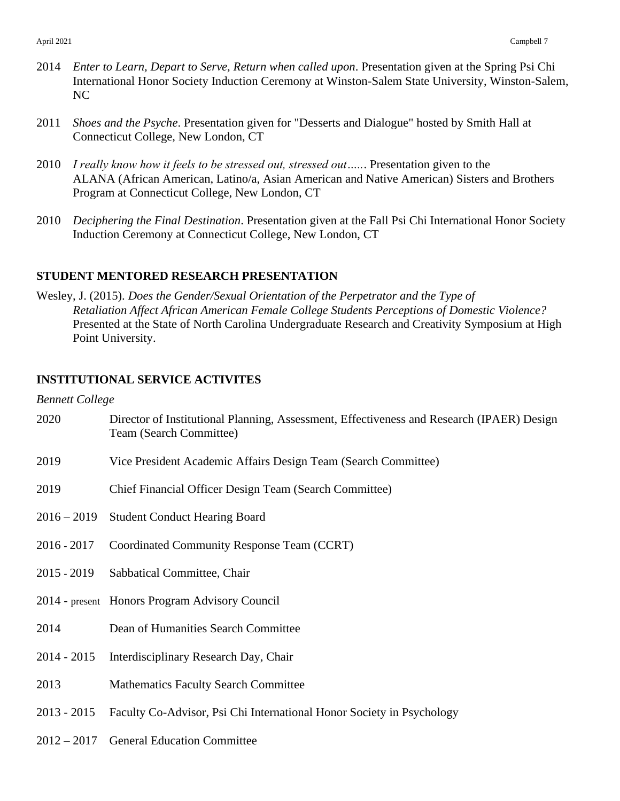- 2014 *Enter to Learn, Depart to Serve, Return when called upon*. Presentation given at the Spring Psi Chi International Honor Society Induction Ceremony at Winston-Salem State University, Winston-Salem, NC
- 2011 *Shoes and the Psyche*. Presentation given for "Desserts and Dialogue" hosted by Smith Hall at Connecticut College, New London, CT
- 2010 *I really know how it feels to be stressed out, stressed out…..*. Presentation given to the ALANA (African American, Latino/a, Asian American and Native American) Sisters and Brothers Program at Connecticut College, New London, CT
- 2010 *Deciphering the Final Destination*. Presentation given at the Fall Psi Chi International Honor Society Induction Ceremony at Connecticut College, New London, CT

# **STUDENT MENTORED RESEARCH PRESENTATION**

Wesley, J. (2015). *Does the Gender/Sexual Orientation of the Perpetrator and the Type of Retaliation Affect African American Female College Students Perceptions of Domestic Violence?* Presented at the State of North Carolina Undergraduate Research and Creativity Symposium at High Point University.

# **INSTITUTIONAL SERVICE ACTIVITES**

*Bennett College*

| 2020          | Director of Institutional Planning, Assessment, Effectiveness and Research (IPAER) Design<br>Team (Search Committee) |
|---------------|----------------------------------------------------------------------------------------------------------------------|
| 2019          | Vice President Academic Affairs Design Team (Search Committee)                                                       |
| 2019          | Chief Financial Officer Design Team (Search Committee)                                                               |
| $2016 - 2019$ | <b>Student Conduct Hearing Board</b>                                                                                 |
| $2016 - 2017$ | Coordinated Community Response Team (CCRT)                                                                           |
| $2015 - 2019$ | Sabbatical Committee, Chair                                                                                          |
|               | 2014 - present Honors Program Advisory Council                                                                       |
| 2014          | Dean of Humanities Search Committee                                                                                  |
| $2014 - 2015$ | Interdisciplinary Research Day, Chair                                                                                |
| 2013          | <b>Mathematics Faculty Search Committee</b>                                                                          |
| $2013 - 2015$ | Faculty Co-Advisor, Psi Chi International Honor Society in Psychology                                                |
| $2012 - 2017$ | <b>General Education Committee</b>                                                                                   |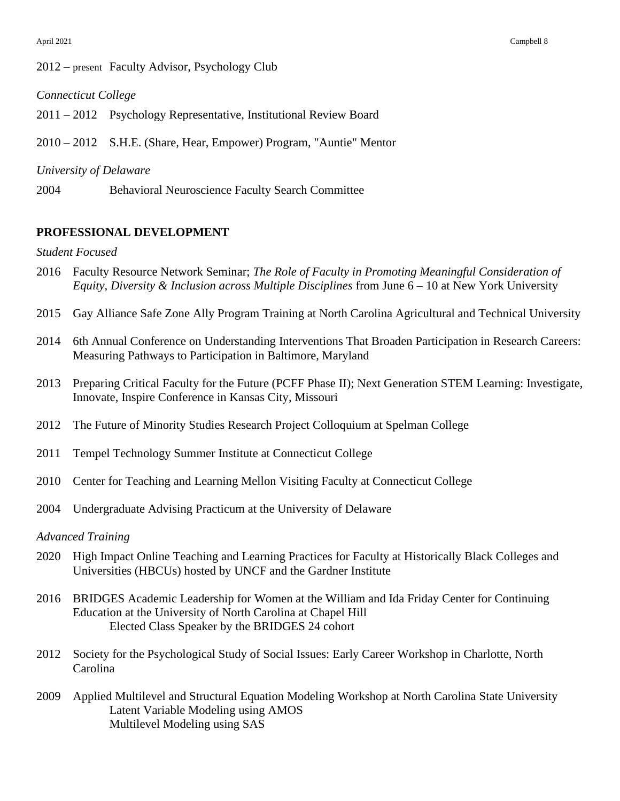### 2012 – present Faculty Advisor, Psychology Club

#### *Connecticut College*

2011 – 2012 Psychology Representative, Institutional Review Board

2010 – 2012 S.H.E. (Share, Hear, Empower) Program, "Auntie" Mentor

#### *University of Delaware*

2004 Behavioral Neuroscience Faculty Search Committee

## **PROFESSIONAL DEVELOPMENT**

#### *Student Focused*

- 2016 Faculty Resource Network Seminar; *The Role of Faculty in Promoting Meaningful Consideration of Equity, Diversity & Inclusion across Multiple Disciplines* from June 6 – 10 at New York University
- 2015 Gay Alliance Safe Zone Ally Program Training at North Carolina Agricultural and Technical University
- 2014 6th Annual Conference on Understanding Interventions That Broaden Participation in Research Careers: Measuring Pathways to Participation in Baltimore, Maryland
- 2013 Preparing Critical Faculty for the Future (PCFF Phase II); Next Generation STEM Learning: Investigate, Innovate, Inspire Conference in Kansas City, Missouri
- 2012 The Future of Minority Studies Research Project Colloquium at Spelman College
- 2011 Tempel Technology Summer Institute at Connecticut College
- 2010 Center for Teaching and Learning Mellon Visiting Faculty at Connecticut College
- 2004 Undergraduate Advising Practicum at the University of Delaware

### *Advanced Training*

- 2020 High Impact Online Teaching and Learning Practices for Faculty at Historically Black Colleges and Universities (HBCUs) hosted by UNCF and the Gardner Institute
- 2016 BRIDGES Academic Leadership for Women at the William and Ida Friday Center for Continuing Education at the University of North Carolina at Chapel Hill Elected Class Speaker by the BRIDGES 24 cohort
- 2012 Society for the Psychological Study of Social Issues: Early Career Workshop in Charlotte, North Carolina
- 2009 Applied Multilevel and Structural Equation Modeling Workshop at North Carolina State University Latent Variable Modeling using AMOS Multilevel Modeling using SAS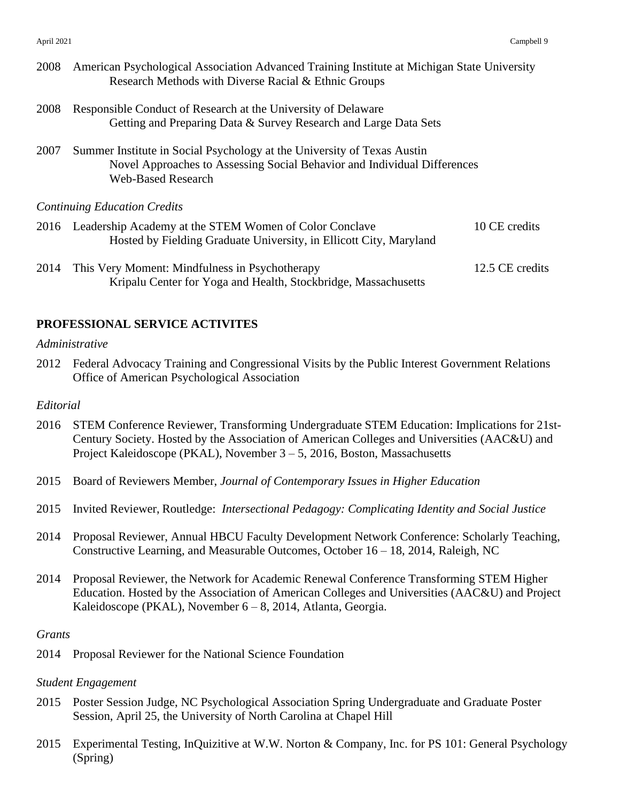| 2008 | American Psychological Association Advanced Training Institute at Michigan State University<br>Research Methods with Diverse Racial & Ethnic Groups                              |                 |
|------|----------------------------------------------------------------------------------------------------------------------------------------------------------------------------------|-----------------|
| 2008 | Responsible Conduct of Research at the University of Delaware<br>Getting and Preparing Data & Survey Research and Large Data Sets                                                |                 |
| 2007 | Summer Institute in Social Psychology at the University of Texas Austin<br>Novel Approaches to Assessing Social Behavior and Individual Differences<br><b>Web-Based Research</b> |                 |
|      | <b>Continuing Education Credits</b>                                                                                                                                              |                 |
|      | 2016 Leadership Academy at the STEM Women of Color Conclave<br>Hosted by Fielding Graduate University, in Ellicott City, Maryland                                                | 10 CE credits   |
| 2014 | This Very Moment: Mindfulness in Psychotherapy                                                                                                                                   | 12.5 CE credits |

Kripalu Center for Yoga and Health, Stockbridge, Massachusetts

# **PROFESSIONAL SERVICE ACTIVITES**

## *Administrative*

2012 Federal Advocacy Training and Congressional Visits by the Public Interest Government Relations Office of American Psychological Association

#### *Editorial*

- 2016 STEM Conference Reviewer, Transforming Undergraduate STEM Education: Implications for 21st-Century Society. Hosted by the Association of American Colleges and Universities (AAC&U) and Project Kaleidoscope (PKAL), November 3 – 5, 2016, Boston, Massachusetts
- 2015 Board of Reviewers Member, *Journal of Contemporary Issues in Higher Education*
- 2015 Invited Reviewer, Routledge: *Intersectional Pedagogy: Complicating Identity and Social Justice*
- 2014 Proposal Reviewer, Annual HBCU Faculty Development Network Conference: Scholarly Teaching, Constructive Learning, and Measurable Outcomes, October 16 – 18, 2014, Raleigh, NC
- 2014 Proposal Reviewer, the Network for Academic Renewal Conference Transforming STEM Higher Education. Hosted by the Association of American Colleges and Universities (AAC&U) and Project Kaleidoscope (PKAL), November 6 – 8, 2014, Atlanta, Georgia.

#### *Grants*

2014 Proposal Reviewer for the National Science Foundation

# *Student Engagement*

- 2015 Poster Session Judge, NC Psychological Association Spring Undergraduate and Graduate Poster Session, April 25, the University of North Carolina at Chapel Hill
- 2015 Experimental Testing, InQuizitive at W.W. Norton & Company, Inc. for PS 101: General Psychology (Spring)